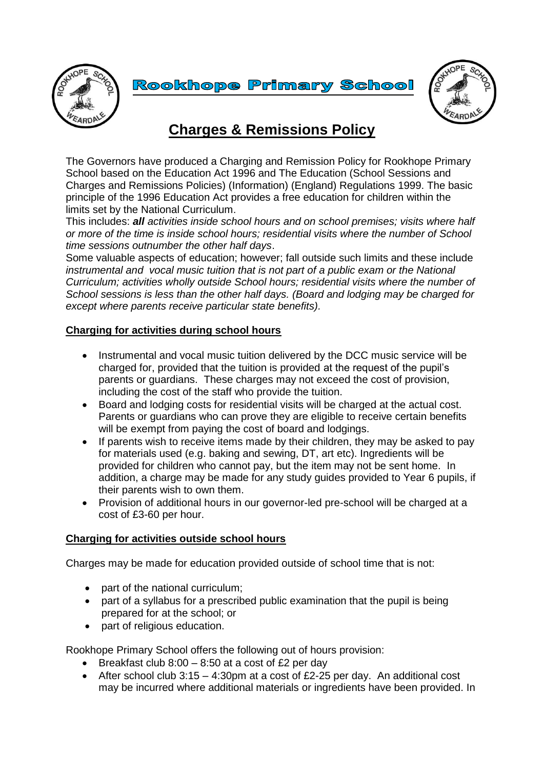

**Rookhope Primary School** 



## **Charges & Remissions Policy**

The Governors have produced a Charging and Remission Policy for Rookhope Primary School based on the Education Act 1996 and The Education (School Sessions and Charges and Remissions Policies) (Information) (England) Regulations 1999. The basic principle of the 1996 Education Act provides a free education for children within the limits set by the National Curriculum.

This includes: *all activities inside school hours and on school premises; visits where half or more of the time is inside school hours; residential visits where the number of School time sessions outnumber the other half days*.

Some valuable aspects of education; however; fall outside such limits and these include *instrumental and vocal music tuition that is not part of a public exam or the National Curriculum; activities wholly outside School hours; residential visits where the number of School sessions is less than the other half days. (Board and lodging may be charged for except where parents receive particular state benefits).*

## **Charging for activities during school hours**

- Instrumental and vocal music tuition delivered by the DCC music service will be charged for, provided that the tuition is provided at the request of the pupil's parents or guardians. These charges may not exceed the cost of provision, including the cost of the staff who provide the tuition.
- Board and lodging costs for residential visits will be charged at the actual cost. Parents or guardians who can prove they are eligible to receive certain benefits will be exempt from paying the cost of board and lodgings.
- If parents wish to receive items made by their children, they may be asked to pay for materials used (e.g. baking and sewing, DT, art etc). Ingredients will be provided for children who cannot pay, but the item may not be sent home. In addition, a charge may be made for any study guides provided to Year 6 pupils, if their parents wish to own them.
- Provision of additional hours in our governor-led pre-school will be charged at a cost of £3-60 per hour.

## **Charging for activities outside school hours**

Charges may be made for education provided outside of school time that is not:

- part of the national curriculum;
- part of a syllabus for a prescribed public examination that the pupil is being prepared for at the school; or
- part of religious education.

Rookhope Primary School offers the following out of hours provision:

- **Breakfast club 8:00 8:50 at a cost of £2 per day**
- After school club  $3:15 4:30$ pm at a cost of £2-25 per day. An additional cost may be incurred where additional materials or ingredients have been provided. In